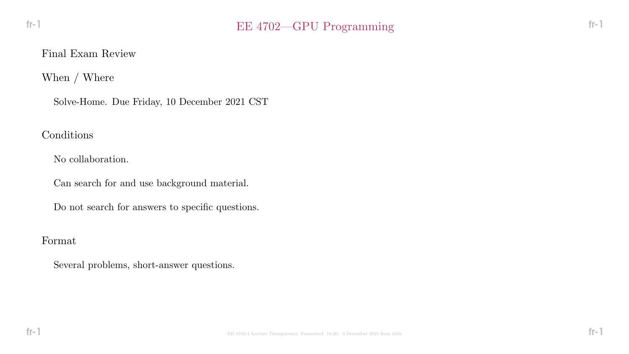When / Where

Solve-Home. Due Friday, 10 December 2021 CST

Conditions

No collaboration.

Can search for and use background material.

Do not search for answers to specific questions.

Format

Several problems, short-answer questions.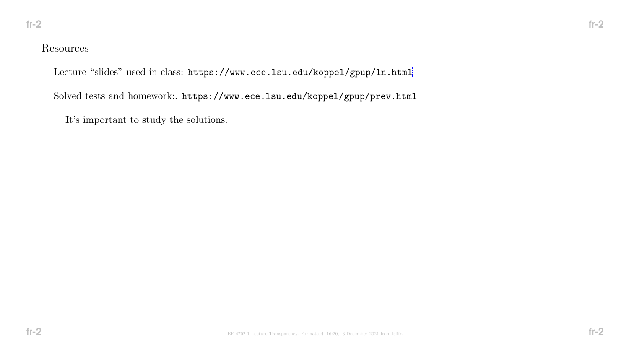## Resources

Lecture "slides" used in class: <https://www.ece.lsu.edu/koppel/gpup/ln.html>

Solved tests and homework:. <https://www.ece.lsu.edu/koppel/gpup/prev.html>

It's important to study the solutions.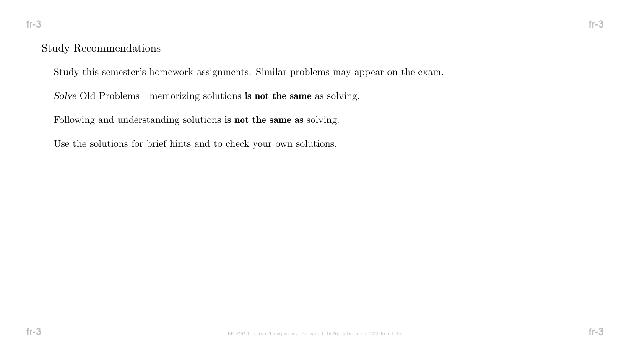#### Study Recommendations

Study this semester's homework assignments. Similar problems may appear on the exam.

Solve Old Problems—memorizing solutions is not the same as solving.

Following and understanding solutions is not the same as solving.

Use the solutions for brief hints and to check your own solutions.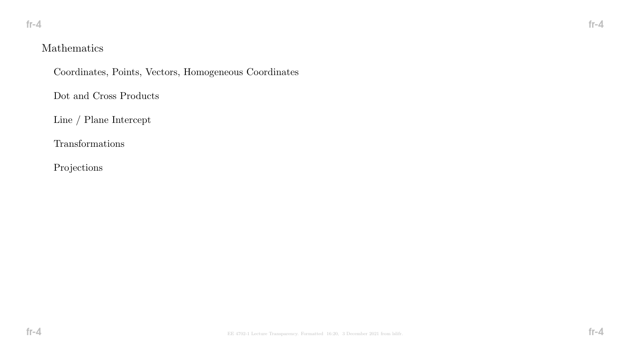# Mathematics

Coordinates, Points, Vectors, Homogeneous Coordinates

Dot and Cross Products

Line / Plane Intercept

Transformations

Projections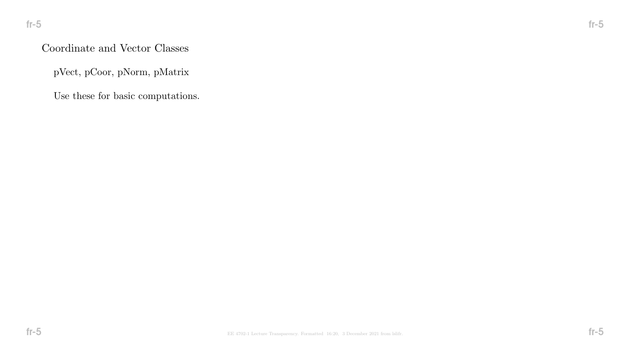# Coordinate and Vector Classes

pVect, pCoor, pNorm, pMatrix

Use these for basic computations.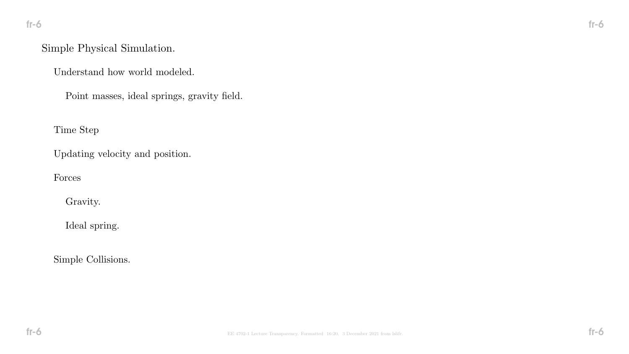# Simple Physical Simulation.

Understand how world modeled.

Point masses, ideal springs, gravity field.

Time Step

Updating velocity and position.

Forces

Gravity.

Ideal spring.

Simple Collisions.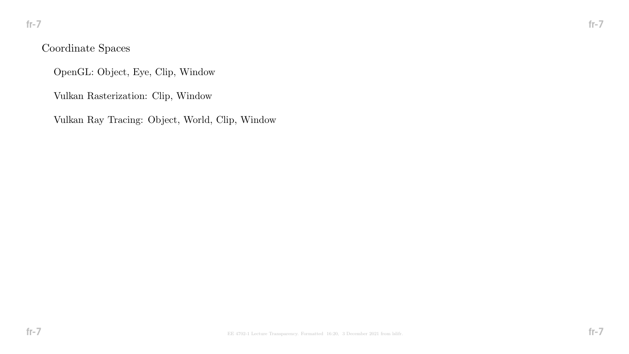# Coordinate Spaces

OpenGL: Object, Eye, Clip, Window

Vulkan Rasterization: Clip, Window

Vulkan Ray Tracing: Object, World, Clip, Window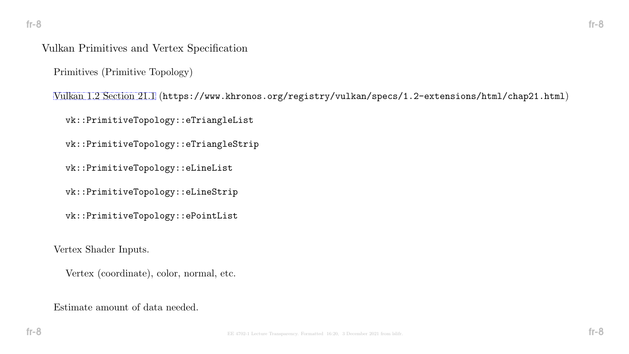#### Vulkan Primitives and Vertex Specification

Primitives (Primitive Topology)

[Vulkan 1.2 Section 21.1](https://www.khronos.org/registry/vulkan/specs/1.2-extensions/html/chap21.html) (https://www.khronos.org/registry/vulkan/specs/1.2-extensions/html/chap21.html)

vk::PrimitiveTopology::eTriangleList

vk::PrimitiveTopology::eTriangleStrip

vk::PrimitiveTopology::eLineList

vk::PrimitiveTopology::eLineStrip

vk::PrimitiveTopology::ePointList

Vertex Shader Inputs.

Vertex (coordinate), color, normal, etc.

Estimate amount of data needed.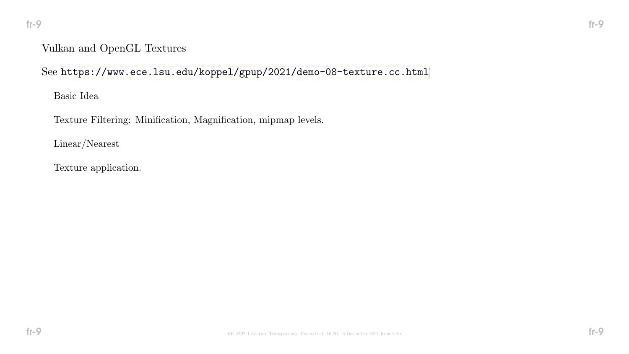# Vulkan and OpenGL Textures

See <https://www.ece.lsu.edu/koppel/gpup/2021/demo-08-texture.cc.html>

Basic Idea

Texture Filtering: Minification, Magnification, mipmap levels.

Linear/Nearest

Texture application.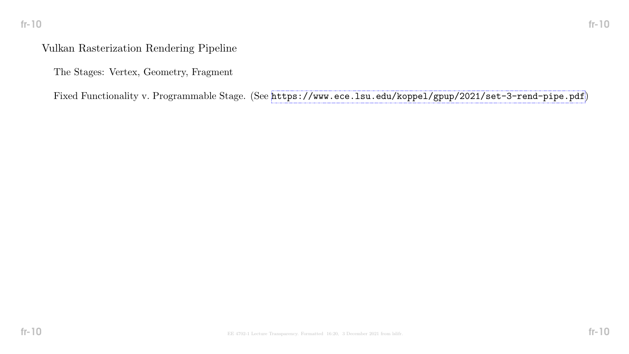# fr-10 fr-10

# Vulkan Rasterization Rendering Pipeline

The Stages: Vertex, Geometry, Fragment

Fixed Functionality v. Programmable Stage. (See <https://www.ece.lsu.edu/koppel/gpup/2021/set-3-rend-pipe.pdf>)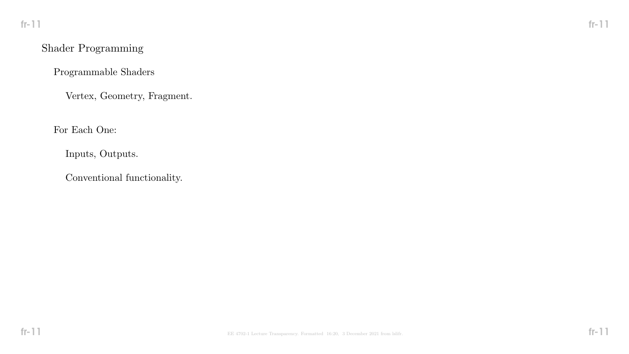# Shader Programming

Programmable Shaders

Vertex, Geometry, Fragment.

For Each One:

Inputs, Outputs.

Conventional functionality.